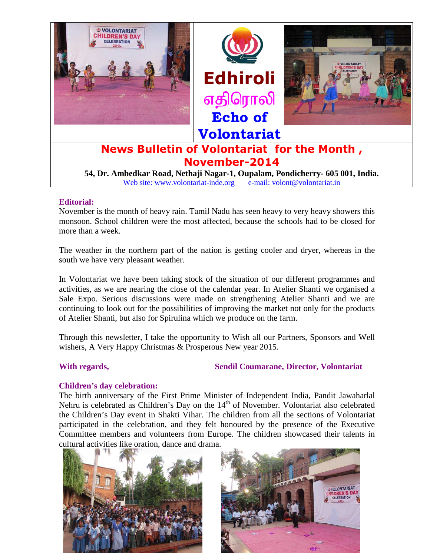

#### **Editorial:**

November is the month of heavy rain. Tamil Nadu has seen heavy to very heavy showers this monsoon. School children were the most affected, because the schools had to be closed for more than a week.

The weather in the northern part of the nation is getting cooler and dryer, whereas in the south we have very pleasant weather.

In Volontariat we have been taking stock of the situation of our different programmes and activities, as we are nearing the close of the calendar year. In Atelier Shanti we organised a Sale Expo. Serious discussions were made on strengthening Atelier Shanti and we are continuing to look out for the possibilities of improving the market not only for the products of Atelier Shanti, but also for Spirulina which we produce on the farm.

Through this newsletter, I take the opportunity to Wish all our Partners, Sponsors and Well wishers, A Very Happy Christmas & Prosperous New year 2015.

# With regards, Sendil Coumarane, Director, Volontariat

#### **Children's day celebration:**

The birth anniversary of the First Prime Minister of Independent India, Pandit Jawaharlal Nehru is celebrated as Children's Day on the  $14<sup>th</sup>$  of November. Volontariat also celebrated the Children's Day event in Shakti Vihar. The children from all the sections of Volontariat participated in the celebration, and they felt honoured by the presence of the Executive Committee members and volunteers from Europe. The children showcased their talents in cultural activities like oration, dance and drama.